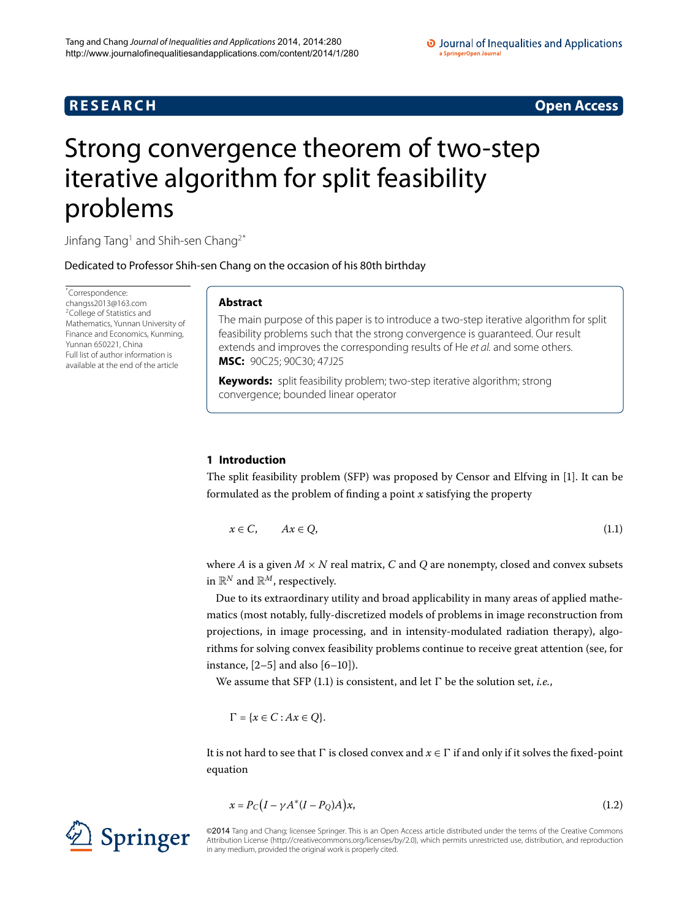# **R E S E A R C H Open Access**

# <span id="page-0-0"></span>Strong convergence theorem of two-step iterative algorithm for split feasibility problems

Jinfang Tang<sup>1</sup> and Shih-sen Chang<sup>[2](#page-12-1)[\\*](#page-0-0)</sup>

Dedicated to Professor Shih-sen Chang on the occasion of his 80th birthday

\* Correspondence: [changss2013@163.com](mailto:changss2013@163.com) 2College of Statistics and Mathematics, Yunnan University of Finance and Economics, Kunming, Yunnan 650221, China Full list of author information is available at the end of the article

# **Abstract**

The main purpose of this paper is to introduce a two-step iterative algorithm for split feasibility problems such that the strong convergence is guaranteed. Our result extends and improves the corresponding results of He et al. and some others. **MSC:** 90C25; 90C30; 47J25

<span id="page-0-1"></span>**Keywords:** split feasibility problem; two-step iterative algorithm; strong convergence; bounded linear operator

# **1 Introduction**

The split feasibility problem (SFP) was proposed by Censor and Elfving in [\[\]](#page-12-2). It can be formulated as the problem of finding a point *x* satisfying the property

$$
x \in C, \qquad Ax \in Q,\tag{1.1}
$$

where *A* is a given  $M \times N$  real matrix, *C* and *Q* are nonempty, closed and convex subsets in  $\mathbb{R}^N$  and  $\mathbb{R}^M$ , respectively.

Due to its extraordinary utility and broad applicability in many areas of applied mathematics (most notably, fully-discretized models of problems in image reconstruction from projections, in image processing, and in intensity-modulated radiation therapy), algorithms for solving convex feasibility problems continue to receive great attention (see, for instance,  $[2-5]$  $[2-5]$  and also  $[6-10]$  $[6-10]$ ).

We assume that SFP  $(1.1)$  is consistent, and let  $\Gamma$  be the solution set, *i.e.*,

<span id="page-0-2"></span> $\Gamma = \{x \in C : Ax \in Q\}.$ 

It is not hard to see that  $\Gamma$  is closed convex and  $x \in \Gamma$  if and only if it solves the fixed-point equation

$$
x = P_C (I - \gamma A^* (I - P_Q) A) x,\tag{1.2}
$$

©2014 Tang and Chang; licensee Springer. This is an Open Access article distributed under the terms of the Creative Commons Attribution License [\(http://creativecommons.org/licenses/by/2.0](http://creativecommons.org/licenses/by/2.0)), which permits unrestricted use, distribution, and reproduction in any medium, provided the original work is properly cited.

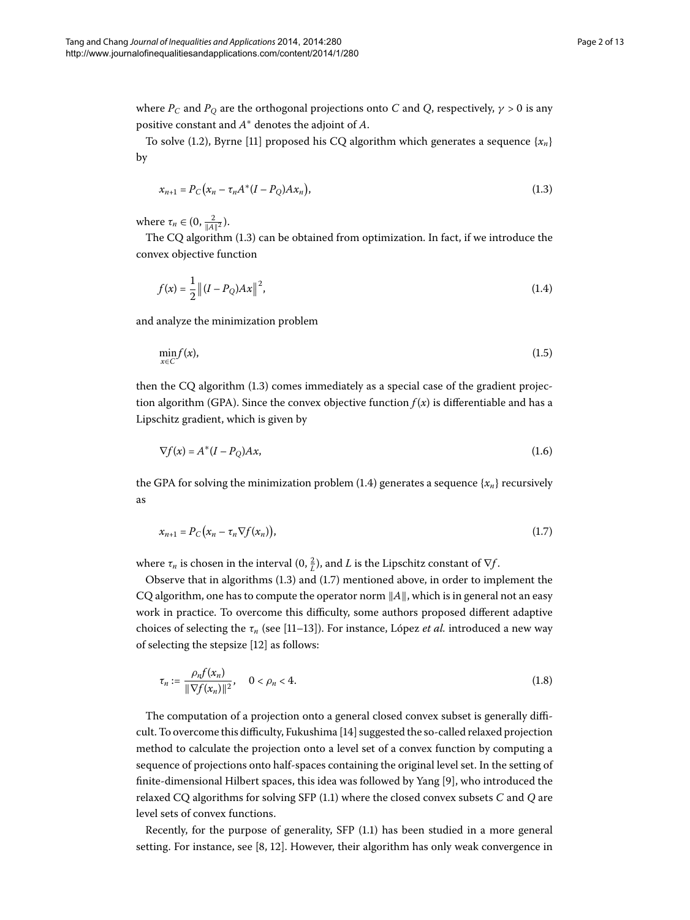where  $P_C$  and  $P_O$  are the orthogonal projections onto *C* and *Q*, respectively,  $\gamma > 0$  is any positive constant and *A*<sup>∗</sup> denotes the adjoint of *A*.

To solve (1.2), Byrne [11] proposed his CQ algorithm which generates a sequence  ${x_n}$ } by

<span id="page-1-1"></span><span id="page-1-0"></span>
$$
x_{n+1} = P_C(x_n - \tau_n A^*(I - P_Q) A x_n),
$$
\n(1.3)

where  $\tau_n \in (0, \frac{2}{\|A\|^2})$ .

The CQ algorithm  $(1.3)$  can be obtained from optimization. In fact, if we introduce the convex objective function

$$
f(x) = \frac{1}{2} ||(I - P_Q)Ax||^2,
$$
\n(1.4)

and analyze the minimization problem

$$
\min_{x \in C} f(x),\tag{1.5}
$$

then the CQ algorithm  $(1.3)$  comes immediately as a special case of the gradient projection algorithm (GPA). Since the convex objective function  $f(x)$  is differentiable and has a Lipschitz gradient, which is given by

<span id="page-1-2"></span>
$$
\nabla f(x) = A^*(I - P_Q)Ax,\tag{1.6}
$$

the GPA for solving the minimization problem  $(1.4)$  $(1.4)$  $(1.4)$  generates a sequence  $\{x_n\}$  recursively as

$$
x_{n+1} = P_C(x_n - \tau_n \nabla f(x_n)), \qquad (1.7)
$$

where  $\tau_n$  is chosen in the interval (0,  $\frac{2}{L}$ ), and *L* is the Lipschitz constant of  $\nabla f$ .

Observe that in algorithms  $(1.3)$  and  $(1.7)$  mentioned above, in order to implement the CQ algorithm, one has to compute the operator norm  $||A||$ , which is in general not an easy work in practice. To overcome this difficulty, some authors proposed different adaptive choices of selecting the  $\tau_n$  (see [11[–](#page-12-8)13]). For instance, López *et al.* introduced a new way of selecting the stepsize [12] as follows:

$$
\tau_n := \frac{\rho_n f(x_n)}{\|\nabla f(x_n)\|^2}, \quad 0 < \rho_n < 4. \tag{1.8}
$$

The computation of a projection onto a general closed convex subset is generally difficult. To overcome this difficulty, Fukushima [\[](#page-12-10)] suggested the so-called relaxed projection method to calculate the projection onto a level set of a convex function by computing a sequence of projections onto half-spaces containing the original level set. In the setting of finite-dimensional Hilbert spaces, this idea was followed by Yang [9[\]](#page-12-11), who introduced the relaxed CQ algorithms for solving SFP (1[.](#page-0-1)1) where the closed convex subsets *C* and *Q* are level sets of convex functions.

Recently, for the purpose of generality,  $SFP(1.1)$  $SFP(1.1)$  $SFP(1.1)$  has been studied in a more general setting. For instance[,](#page-12-12) see  $[8, 12]$  $[8, 12]$ . However, their algorithm has only weak convergence in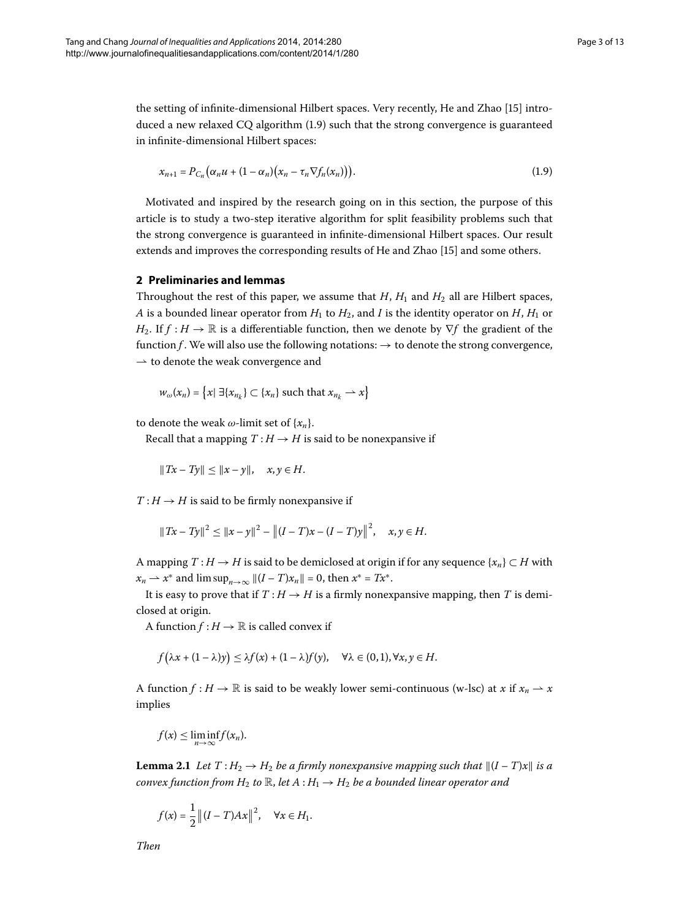the setting of infinite-dimensional Hilbert spaces. Very recently, He and Zhao [15[\]](#page-12-13) introduced a new relaxed  $CQ$  algorithm  $(1.9)$  such that the strong convergence is guaranteed in infinite-dimensional Hilbert spaces:

<span id="page-2-0"></span>
$$
x_{n+1} = P_{C_n} \big( \alpha_n u + (1 - \alpha_n) \big( x_n - \tau_n \nabla f_n(x_n) \big) \big). \tag{1.9}
$$

Motivated and inspired by the research going on in this section, the purpose of this article is to study a two-step iterative algorithm for split feasibility problems such that the strong convergence is guaranteed in infinite-dimensional Hilbert spaces. Our result extends and improves the corresponding results of He and Zhao [\[](#page-12-13)15] and some others.

## **2 Preliminaries and lemmas**

Throughout the rest of this paper, we assume that  $H$ ,  $H_1$  and  $H_2$  all are Hilbert spaces, *A* is a bounded linear operator from  $H_1$  to  $H_2$ , and *I* is the identity operator on  $H$ ,  $H_1$  or *H*<sub>2</sub>. If *f* : *H*  $\rightarrow$  R is a differentiable function, then we denote by  $\nabla f$  the gradient of the function *f* . We will also use the following notations:  $\rightarrow$  to denote the strong convergence,  $\rightarrow$  to denote the weak convergence and

$$
w_{\omega}(x_n) = \{x \mid \exists \{x_{n_k}\} \subset \{x_n\} \text{ such that } x_{n_k} \to x\}
$$

to denote the weak  $\omega$ -limit set of  $\{x_n\}$ .

Recall that a mapping  $T: H \to H$  is said to be nonexpansive if

$$
||Tx - Ty|| \le ||x - y||, \quad x, y \in H.
$$

 $T: H \rightarrow H$  is said to be firmly nonexpansive if

$$
||Tx - Ty||2 \le ||x - y||2 - ||(I - T)x - (I - T)y||2, \quad x, y \in H.
$$

A mapping  $T : H \to H$  is said to be demiclosed at origin if for any sequence  $\{x_n\} \subset H$  with *x<sub>n</sub>* → *x*<sup>∗</sup> and lim sup<sub>*n*→∞</sub>  $||(I - T)x_n|| = 0$ , then *x*<sup>∗</sup> = *Tx*<sup>∗</sup>.

It is easy to prove that if  $T : H \to H$  is a firmly nonexpansive mapping, then *T* is demiclosed at origin.

A function  $f : H \to \mathbb{R}$  is called convex if

$$
f(\lambda x + (1 - \lambda)y) \leq \lambda f(x) + (1 - \lambda)f(y), \quad \forall \lambda \in (0, 1), \forall x, y \in H.
$$

<span id="page-2-1"></span>A function  $f : H \to \mathbb{R}$  is said to be weakly lower semi-continuous (w-lsc) at *x* if  $x_n \to x$ implies

$$
f(x) \leq \liminf_{n \to \infty} f(x_n).
$$

**Lemma 2.1** Let  $T: H_2 \to H_2$  be a firmly nonexpansive mapping such that  $\|(I-T)x\|$  is a *convex function from H*<sub>2</sub> *to*  $\mathbb{R}$ *, let*  $A : H_1 \rightarrow H_2$  *be a bounded linear operator and* 

$$
f(x) = \frac{1}{2} || (I - T)Ax ||^2
$$
,  $\forall x \in H_1$ .

*Then*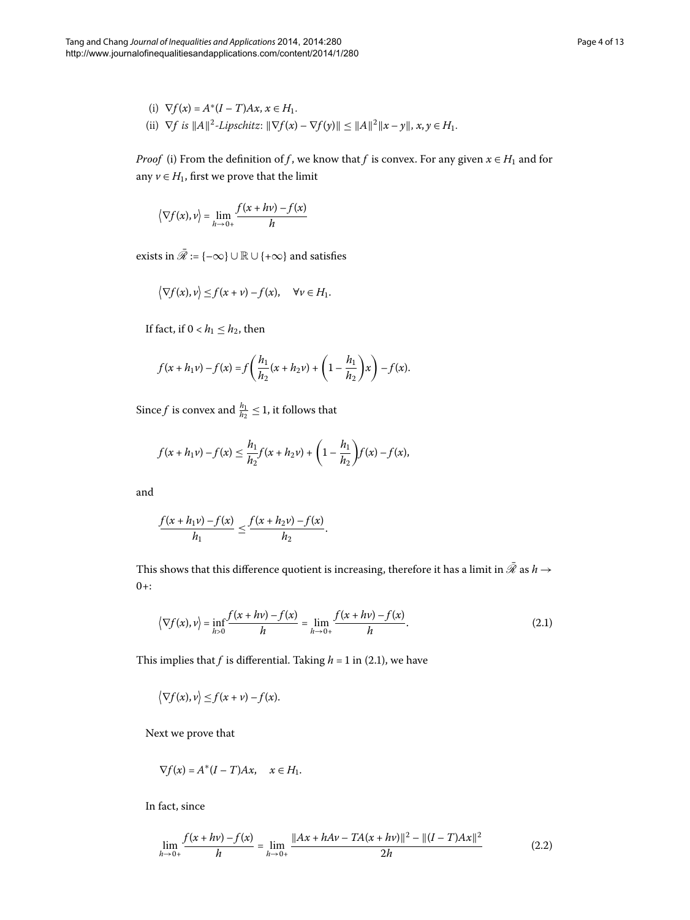(i) 
$$
\nabla f(x) = A^*(I - T)Ax, x \in H_1.
$$
  
\n(ii)  $\nabla f$  is  $||A||^2$ -Lipschitz:  $||\nabla f(x) - \nabla f(y)|| \le ||A||^2 ||x - y||, x, y \in H_1.$ 

*Proof* (i) From the definition of *f*, we know that *f* is convex. For any given  $x \in H_1$  and for any  $v \in H_1$ , first we prove that the limit

$$
\langle \nabla f(x), v \rangle = \lim_{h \to 0+} \frac{f(x + hv) - f(x)}{h}
$$

exists in  $\bar{\mathcal{R}} := \{-\infty\} \cup \mathbb{R} \cup \{+\infty\}$  and satisfies

$$
\big\langle \nabla f(x), v \big\rangle \leq f(x + v) - f(x), \quad \forall v \in H_1.
$$

If fact, if  $0 < h_1 \leq h_2$ , then

$$
f(x + h_1v) - f(x) = f\left(\frac{h_1}{h_2}(x + h_2v) + \left(1 - \frac{h_1}{h_2}\right)x\right) - f(x).
$$

Since *f* is convex and  $\frac{h_1}{h_2} \leq 1$ , it follows that

$$
f(x+h_1v)-f(x) \leq \frac{h_1}{h_2}f(x+h_2v) + \left(1-\frac{h_1}{h_2}\right)f(x)-f(x),
$$

and

<span id="page-3-0"></span>
$$
\frac{f(x+h_1\nu)-f(x)}{h_1}\leq \frac{f(x+h_2\nu)-f(x)}{h_2}.
$$

This shows that this difference quotient is increasing, therefore it has a limit in  $\bar{\mathscr{R}}$  as  $h$   $\rightarrow$  $0+$ :

$$
\left\langle \nabla f(x), v \right\rangle = \inf_{h>0} \frac{f(x + hv) - f(x)}{h} = \lim_{h \to 0+} \frac{f(x + hv) - f(x)}{h}.
$$
 (2.1)

This implies that *f* is differential. Taking  $h = 1$  in (2.1), we have

$$
\big\langle \nabla f(x), v \big\rangle \leq f(x + v) - f(x).
$$

Next we prove that

<span id="page-3-1"></span>
$$
\nabla f(x) = A^*(I - T)Ax, \quad x \in H_1.
$$

In fact, since

$$
\lim_{h \to 0+} \frac{f(x + hv) - f(x)}{h} = \lim_{h \to 0+} \frac{\|Ax + hAv - TA(x + hv)\|^2 - \|(I - T)Ax\|^2}{2h} \tag{2.2}
$$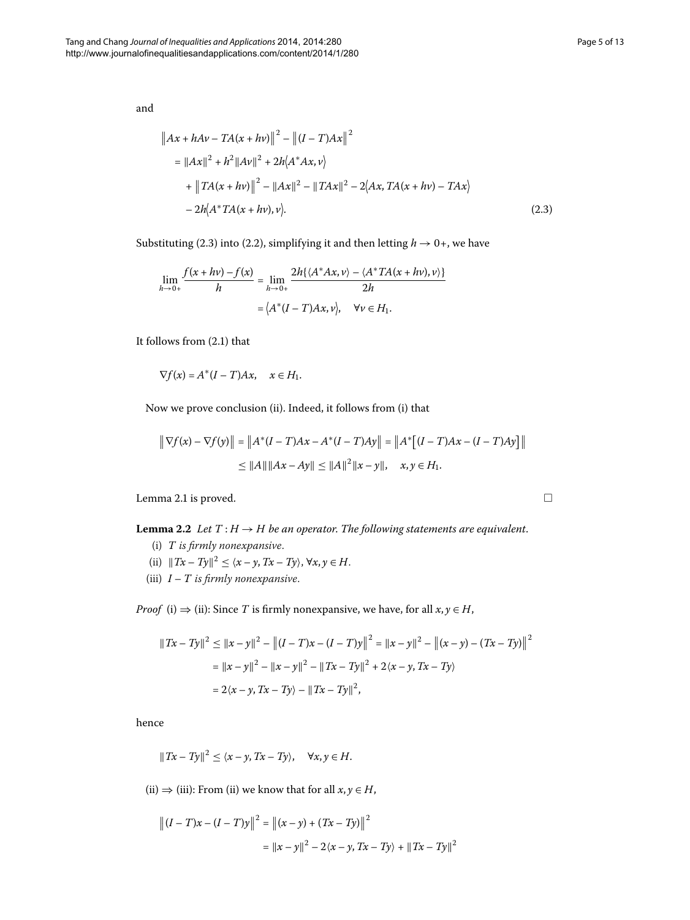and

<span id="page-4-0"></span>
$$
||Ax + hAv - TA(x + hv)||^{2} - ||(I - T)Ax||^{2}
$$
  
=  $||Ax||^{2} + h^{2}||Av||^{2} + 2h\langle A^{*}Ax, v \rangle$   
+  $||TA(x + hv)||^{2} - ||Ax||^{2} - ||TAx||^{2} - 2\langle Ax, TA(x + hv) - TAx \rangle$   
-  $2h\langle A^{*}TA(x + hv), v \rangle$ . (2.3)

Substituting (2.3) into (2.2), simplifying it and then letting  $h \rightarrow 0+$ , we have

$$
\lim_{h \to 0+} \frac{f(x + hv) - f(x)}{h} = \lim_{h \to 0+} \frac{2h\{\langle A^*Ax, v \rangle - \langle A^*TA(x + hv), v \rangle\}}{2h}
$$

$$
= \langle A^*(I - T)Ax, v \rangle, \quad \forall v \in H_1.
$$

It follows from  $(2.1)$  $(2.1)$  $(2.1)$  that

 $\nabla f(x) = A^*(I - T)Ax, \quad x \in H_1.$ 

<span id="page-4-1"></span>Now we prove conclusion (ii). Indeed, it follows from (i) that

$$
\|\nabla f(x) - \nabla f(y)\| = \|A^*(I - T)Ax - A^*(I - T)Ay\| = \|A^*\big[(I - T)Ax - (I - T)Ay\big]\|
$$
  
\n
$$
\le \|A\| \|Ax - Ay\| \le \|A\|^2 \|x - y\|, \quad x, y \in H_1.
$$

Lemma 2[.](#page-2-1)1 is proved.

**Lemma 2.2** Let  $T : H \to H$  be an operator. The following statements are equivalent.

- (i) *T is firmly nonexpansive*.
- (ii)  $||Tx Ty||^2 \le \langle x y, Tx Ty \rangle, \forall x, y \in H.$
- (iii) *I T is firmly nonexpansive*.

*Proof* (i)  $\Rightarrow$  (ii): Since *T* is firmly nonexpansive, we have, for all *x*, *y*  $\in$  *H*,

$$
||Tx - Ty||^2 \le ||x - y||^2 - ||(I - T)x - (I - T)y||^2 = ||x - y||^2 - ||(x - y) - (Tx - Ty)||^2
$$
  
=  $||x - y||^2 - ||x - y||^2 - ||Tx - Ty||^2 + 2\langle x - y, Tx - Ty \rangle$   
=  $2\langle x - y, Tx - Ty \rangle - ||Tx - Ty||^2$ ,

hence

$$
||Tx - Ty||2 \le \langle x - y, Tx - Ty \rangle, \quad \forall x, y \in H.
$$

(ii)  $\Rightarrow$  (iii): From (ii) we know that for all  $x, y \in H$ ,

$$
||(I - T)x - (I - T)y||^{2} = ||(x - y) + (Tx - Ty)||^{2}
$$
  
=  $||x - y||^{2} - 2\langle x - y, Tx - Ty \rangle + ||Tx - Ty||^{2}$ 

 $\Box$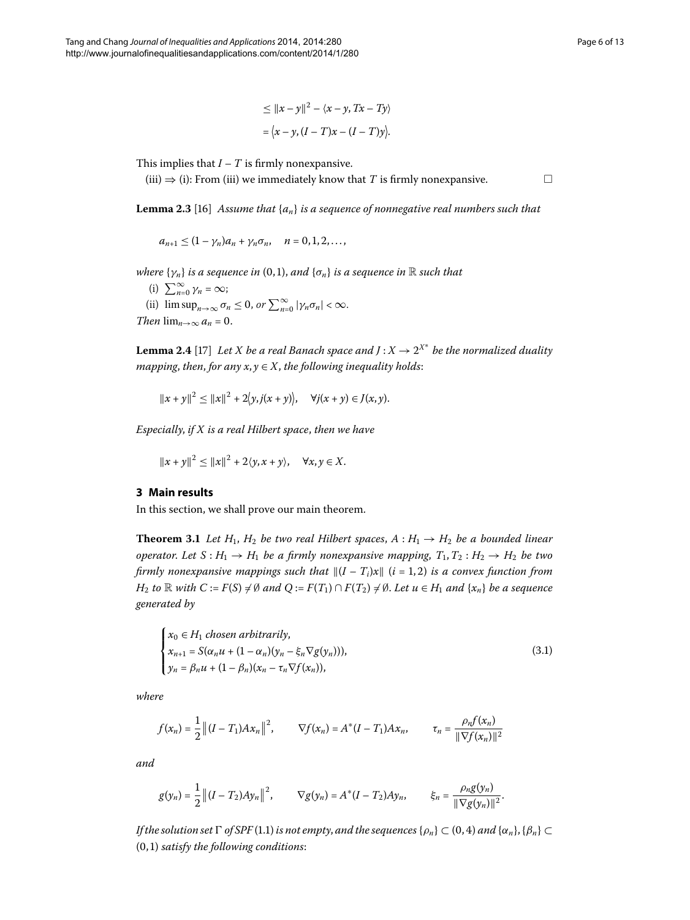$$
\leq ||x - y||^2 - \langle x - y, Tx - Ty \rangle
$$

$$
= \langle x - y, (I - T)x - (I - T)y \rangle.
$$

<span id="page-5-2"></span>This implies that  $I - T$  is firmly nonexpansive.

(iii)  $\Rightarrow$  (i): From (iii) we immediately know that *T* is firmly nonexpansive.  $□$ 

**Lemma 2.3** [16[\]](#page-12-14) Assume that  $\{a_n\}$  *is a sequence of nonnegative real numbers such that* 

<span id="page-5-0"></span> $a_{n+1} \leq (1 - \gamma_n)a_n + \gamma_n \sigma_n, \quad n = 0, 1, 2, \dots$ 

*where*  $\{\gamma_n\}$  *is a sequence in* (0,1), *and*  $\{\sigma_n\}$  *is a sequence in* R *such that* 

(i)  $\sum_{n=0}^{\infty} \gamma_n = \infty;$ 

(ii)  $\limsup_{n\to\infty} \sigma_n \leq 0$ , or  $\sum_{n=0}^{\infty} |\gamma_n \sigma_n| < \infty$ .

*Then*  $\lim_{n\to\infty} a_n = 0$ .

**Lemma 2.4** [17] Let X be a real Banach space and  $J: X \to 2^{X^*}$  be the normalized duality *mapping*, *then*, *for any*  $x, y \in X$ , *the following inequality holds:* 

$$
||x + y||^2 \le ||x||^2 + 2\langle y, j(x + y) \rangle
$$
,  $\forall j(x + y) \in J(x, y)$ .

<span id="page-5-3"></span>*Especially*, *if X is a real Hilbert space*, *then we have*

<span id="page-5-1"></span>
$$
||x + y||2 \le ||x||2 + 2\langle y, x + y \rangle, \quad \forall x, y \in X.
$$

### **3 Main results**

In this section, we shall prove our main theorem.

**Theorem 3.1** Let  $H_1$ ,  $H_2$  be two real Hilbert spaces,  $A: H_1 \rightarrow H_2$  be a bounded linear *operator.* Let  $S : H_1 \to H_1$  be a firmly nonexpansive mapping,  $T_1, T_2 : H_2 \to H_2$  be two *firmly nonexpansive mappings such that*  $||(I - T_i)x||$   $(i = 1, 2)$  *is a convex function from H*<sub>2</sub> *to*  $\mathbb R$  *with*  $C := F(S) \neq \emptyset$  *and*  $Q := F(T_1) \cap F(T_2) \neq \emptyset$ . Let  $u \in H_1$  *and*  $\{x_n\}$  *be a sequence generated by*

$$
\begin{cases}\n x_0 \in H_1 \text{ chosen arbitrarily,} \\
x_{n+1} = S(\alpha_n u + (1 - \alpha_n)(y_n - \xi_n \nabla g(y_n))), \\
y_n = \beta_n u + (1 - \beta_n)(x_n - \tau_n \nabla f(x_n)),\n\end{cases}
$$
\n(3.1)

*where*

$$
f(x_n) = \frac{1}{2} || (I - T_1) A x_n ||^2, \qquad \nabla f(x_n) = A^* (I - T_1) A x_n, \qquad \tau_n = \frac{\rho_n f(x_n)}{|| \nabla f(x_n) ||^2}
$$

*and*

$$
g(y_n) = \frac{1}{2} ||(I - T_2)Ay_n||^2, \qquad \nabla g(y_n) = A^*(I - T_2)Ay_n, \qquad \xi_n = \frac{\rho_n g(y_n)}{||\nabla g(y_n)||^2}.
$$

*If the solution set*  $\Gamma$  *of SPF* (1[.](#page-0-1)1) *is not empty, and the sequences* { $\rho_n$ }  $\subset$  (0, 4) *and* { $\alpha_n$ }, { $\beta_n$ }  $\subset$ (, ) *satisfy the following conditions*: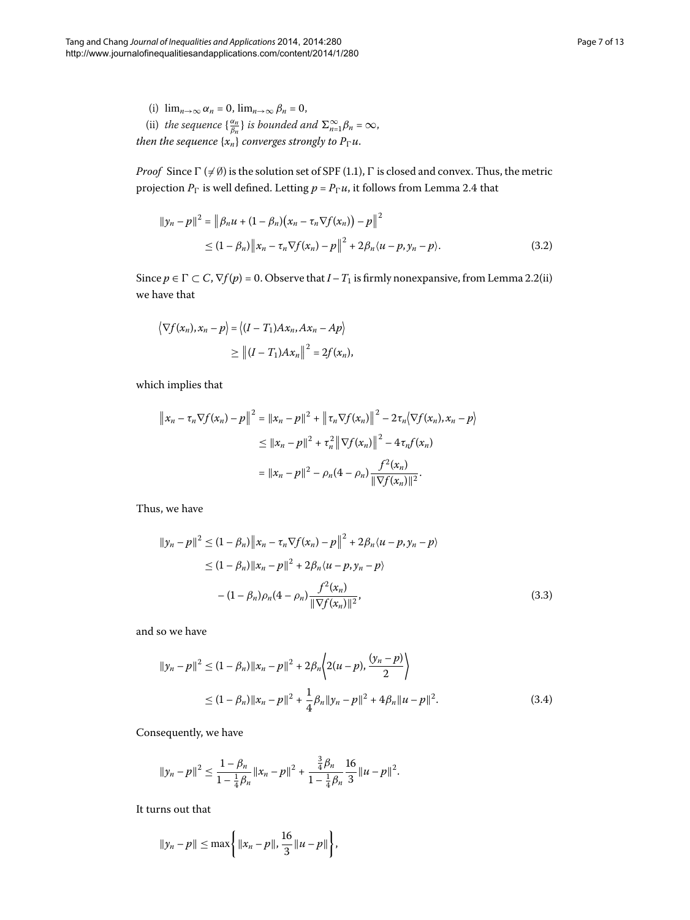*Proof* Since  $\Gamma$  ( $\neq \emptyset$ ) is the solution set of SPF (1.1),  $\Gamma$  is closed and convex. Thus, the metric projection  $P_\Gamma$  is well defined[.](#page-5-0) Letting  $p$  =  $P_\Gamma u$ , it follows from Lemma 2.4 that

$$
||y_n - p||^2 = ||\beta_n u + (1 - \beta_n)(x_n - \tau_n \nabla f(x_n)) - p||^2
$$
  
\n
$$
\leq (1 - \beta_n) ||x_n - \tau_n \nabla f(x_n) - p||^2 + 2\beta_n \langle u - p, y_n - p \rangle.
$$
 (3.2)

Since  $p \in \Gamma \subset C$ ,  $\nabla f(p) = 0$ . Observe that  $I - T_1$  is firmly nonexpansive, from Lemma 2.2(ii) we have that

$$
\langle \nabla f(x_n), x_n - p \rangle = \langle (I - T_1) A x_n, A x_n - A p \rangle
$$
  
 
$$
\geq || (I - T_1) A x_n ||^2 = 2f(x_n),
$$

which implies that

$$
\|x_n - \tau_n \nabla f(x_n) - p\|^2 = \|x_n - p\|^2 + \|\tau_n \nabla f(x_n)\|^2 - 2\tau_n \langle \nabla f(x_n), x_n - p \rangle
$$
  
\n
$$
\le \|x_n - p\|^2 + \tau_n^2 \|\nabla f(x_n)\|^2 - 4\tau_n f(x_n)
$$
  
\n
$$
= \|x_n - p\|^2 - \rho_n (4 - \rho_n) \frac{f^2(x_n)}{\|\nabla f(x_n)\|^2}.
$$

Thus, we have

<span id="page-6-1"></span><span id="page-6-0"></span>
$$
||y_n - p||^2 \le (1 - \beta_n) ||x_n - \tau_n \nabla f(x_n) - p||^2 + 2\beta_n \langle u - p, y_n - p \rangle
$$
  
\n
$$
\le (1 - \beta_n) ||x_n - p||^2 + 2\beta_n \langle u - p, y_n - p \rangle
$$
  
\n
$$
- (1 - \beta_n) \rho_n (4 - \rho_n) \frac{f^2(x_n)}{\|\nabla f(x_n)\|^2},
$$
\n(3.3)

and so we have

$$
||y_n - p||^2 \le (1 - \beta_n) ||x_n - p||^2 + 2\beta_n \left\langle 2(u - p), \frac{(y_n - p)}{2} \right\rangle
$$
  
 
$$
\le (1 - \beta_n) ||x_n - p||^2 + \frac{1}{4}\beta_n ||y_n - p||^2 + 4\beta_n ||u - p||^2.
$$
 (3.4)

Consequently, we have

$$
\|y_n - p\|^2 \le \frac{1 - \beta_n}{1 - \frac{1}{4}\beta_n} \|x_n - p\|^2 + \frac{\frac{3}{4}\beta_n}{1 - \frac{1}{4}\beta_n} \frac{16}{3} \|u - p\|^2.
$$

It turns out that

$$
||y_n - p|| \le \max\left\{ ||x_n - p||, \frac{16}{3} ||u - p|| \right\},\
$$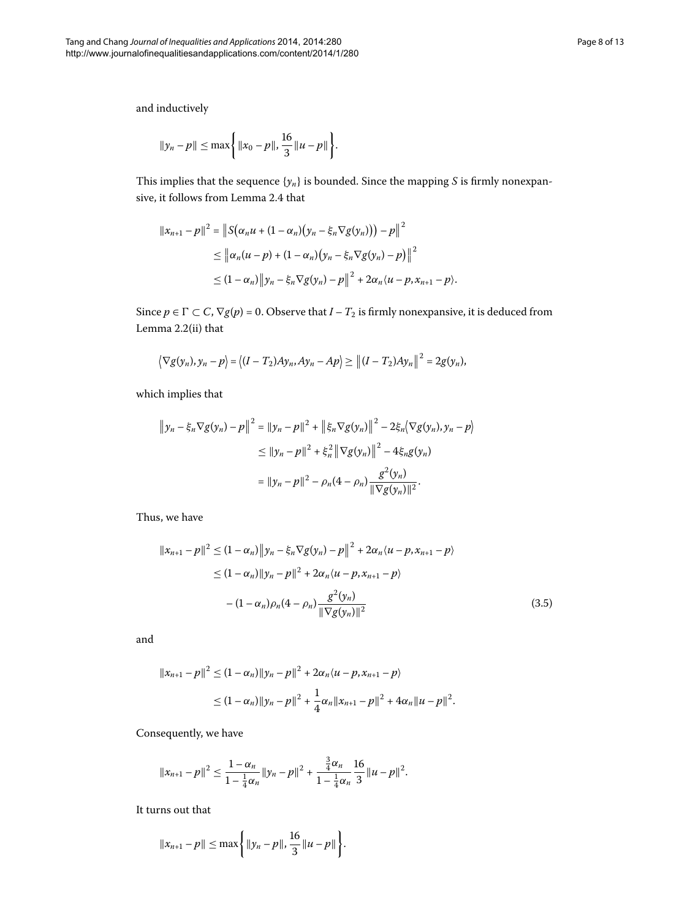and inductively

$$
\|y_n - p\| \le \max\left\{\|x_0 - p\|, \frac{16}{3} \|u - p\|\right\}.
$$

This implies that the sequence  $\{y_n\}$  is bounded. Since the mapping *S* is firmly nonexpan-sive, it follows from Lemma 2[.](#page-5-0)4 that

$$
||x_{n+1} - p||^2 = ||S(\alpha_n u + (1 - \alpha_n)(y_n - \xi_n \nabla g(y_n))) - p||^2
$$
  
\n
$$
\leq ||\alpha_n (u - p) + (1 - \alpha_n)(y_n - \xi_n \nabla g(y_n) - p)||^2
$$
  
\n
$$
\leq (1 - \alpha_n) ||y_n - \xi_n \nabla g(y_n) - p||^2 + 2\alpha_n \langle u - p, x_{n+1} - p \rangle.
$$

Since  $p \in \Gamma \subset C$ ,  $\nabla g(p) = 0$ . Observe that  $I - T_2$  is firmly nonexpansive, it is deduced from Lemma  $2.2$ (ii) that

$$
\langle \nabla g(y_n), y_n - p \rangle = \langle (I - T_2)Ay_n, Ay_n - Ap \rangle \ge ||(I - T_2)Ay_n||^2 = 2g(y_n),
$$

which implies that

$$
\|y_n - \xi_n \nabla g(y_n) - p\|^2 = \|y_n - p\|^2 + \|\xi_n \nabla g(y_n)\|^2 - 2\xi_n \langle \nabla g(y_n), y_n - p \rangle
$$
  
\n
$$
\le \|y_n - p\|^2 + \xi_n^2 \|\nabla g(y_n)\|^2 - 4\xi_n g(y_n)
$$
  
\n
$$
= \|y_n - p\|^2 - \rho_n (4 - \rho_n) \frac{g^2(y_n)}{\|\nabla g(y_n)\|^2}.
$$

Thus, we have

<span id="page-7-0"></span>
$$
||x_{n+1} - p||^2 \le (1 - \alpha_n) ||y_n - \xi_n \nabla g(y_n) - p||^2 + 2\alpha_n \langle u - p, x_{n+1} - p \rangle
$$
  
\n
$$
\le (1 - \alpha_n) ||y_n - p||^2 + 2\alpha_n \langle u - p, x_{n+1} - p \rangle
$$
  
\n
$$
- (1 - \alpha_n) \rho_n (4 - \rho_n) \frac{g^2(y_n)}{||\nabla g(y_n)||^2}
$$
\n(3.5)

and

$$
||x_{n+1}-p||^2 \le (1-\alpha_n)||y_n-p||^2 + 2\alpha_n\langle u-p, x_{n+1}-p\rangle
$$
  

$$
\le (1-\alpha_n)||y_n-p||^2 + \frac{1}{4}\alpha_n||x_{n+1}-p||^2 + 4\alpha_n||u-p||^2.
$$

Consequently, we have

$$
||x_{n+1}-p||^2 \leq \frac{1-\alpha_n}{1-\frac{1}{4}\alpha_n} ||y_n-p||^2 + \frac{\frac{3}{4}\alpha_n}{1-\frac{1}{4}\alpha_n} \frac{16}{3} ||u-p||^2.
$$

It turns out that

$$
||x_{n+1}-p|| \leq \max\bigg\{||y_n-p||, \frac{16}{3}||u-p||\bigg\}.
$$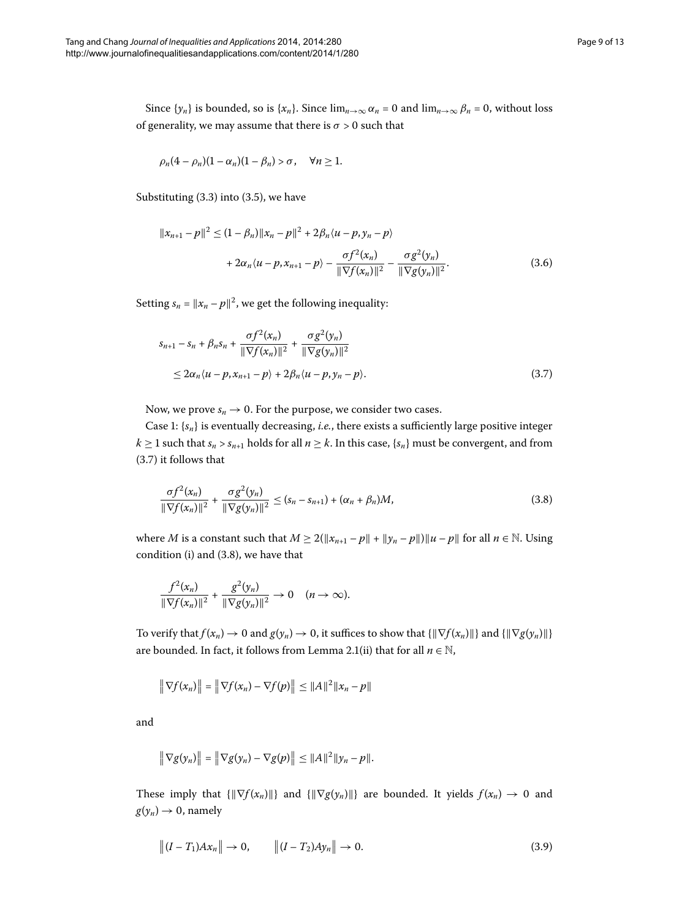Since  $\{y_n\}$  is bounded, so is  $\{x_n\}$ . Since  $\lim_{n\to\infty} \alpha_n = 0$  and  $\lim_{n\to\infty} \beta_n = 0$ , without loss of generality, we may assume that there is  $\sigma > 0$  such that

$$
\rho_n(4-\rho_n)(1-\alpha_n)(1-\beta_n) > \sigma, \quad \forall n \ge 1.
$$

Substituting  $(3.3)$  into  $(3.5)$ , we have

<span id="page-8-0"></span>
$$
||x_{n+1} - p||^2 \le (1 - \beta_n) ||x_n - p||^2 + 2\beta_n \langle u - p, y_n - p \rangle
$$
  
+  $2\alpha_n \langle u - p, x_{n+1} - p \rangle - \frac{\sigma f^2(x_n)}{\|\nabla f(x_n)\|^2} - \frac{\sigma g^2(y_n)}{\|\nabla g(y_n)\|^2}.$  (3.6)

Setting  $s_n = ||x_n - p||^2$ , we get the following inequality:

<span id="page-8-1"></span>
$$
s_{n+1} - s_n + \beta_n s_n + \frac{\sigma f^2(x_n)}{\|\nabla f(x_n)\|^2} + \frac{\sigma g^2(y_n)}{\|\nabla g(y_n)\|^2} \leq 2\alpha_n \langle u - p, x_{n+1} - p \rangle + 2\beta_n \langle u - p, y_n - p \rangle.
$$
\n(3.7)

Now, we prove  $s_n \to 0$ . For the purpose, we consider two cases.

Case 1:  $\{s_n\}$  is eventually decreasing, *i.e.*, there exists a sufficiently large positive integer  $k \geq 1$  such that  $s_n > s_{n+1}$  holds for all  $n \geq k$ . In this case,  $\{s_n\}$  must be convergent, and from  $(3.7)$  it follows that

$$
\frac{\sigma f^2(x_n)}{\|\nabla f(x_n)\|^2} + \frac{\sigma g^2(y_n)}{\|\nabla g(y_n)\|^2} \le (s_n - s_{n+1}) + (\alpha_n + \beta_n)M,\tag{3.8}
$$

where *M* is a constant such that  $M \ge 2(\Vert x_{n+1} - p \Vert + \Vert y_n - p \Vert) \Vert u - p \Vert$  for all  $n \in \mathbb{N}$ . Using condition (i) and  $(3.8)$  $(3.8)$  $(3.8)$ , we have that

$$
\frac{f^2(x_n)}{\|\nabla f(x_n)\|^2} + \frac{g^2(y_n)}{\|\nabla g(y_n)\|^2} \to 0 \quad (n \to \infty).
$$

To verify that  $f(x_n) \to 0$  and  $g(y_n) \to 0$ , it suffices to show that  $\{\|\nabla f(x_n)\|\}$  and  $\{\|\nabla g(y_n)\|\}$ are bounded[.](#page-2-1) In fact, it follows from Lemma 2.1(ii) that for all  $n \in \mathbb{N}$ ,

$$
\|\nabla f(x_n)\| = \|\nabla f(x_n) - \nabla f(p)\| \le \|A\|^2 \|x_n - p\|
$$

and

<span id="page-8-2"></span>
$$
\|\nabla g(y_n)\| = \|\nabla g(y_n) - \nabla g(p)\| \leq \|A\|^2 \|y_n - p\|.
$$

These imply that  $\{||\nabla f(x_n)||\}$  and  $\{||\nabla g(y_n)||\}$  are bounded. It yields  $f(x_n) \to 0$  and  $g(y_n) \to 0$ , namely

$$
|| (I - T_1) A x_n || \to 0, \qquad || (I - T_2) A y_n || \to 0.
$$
 (3.9)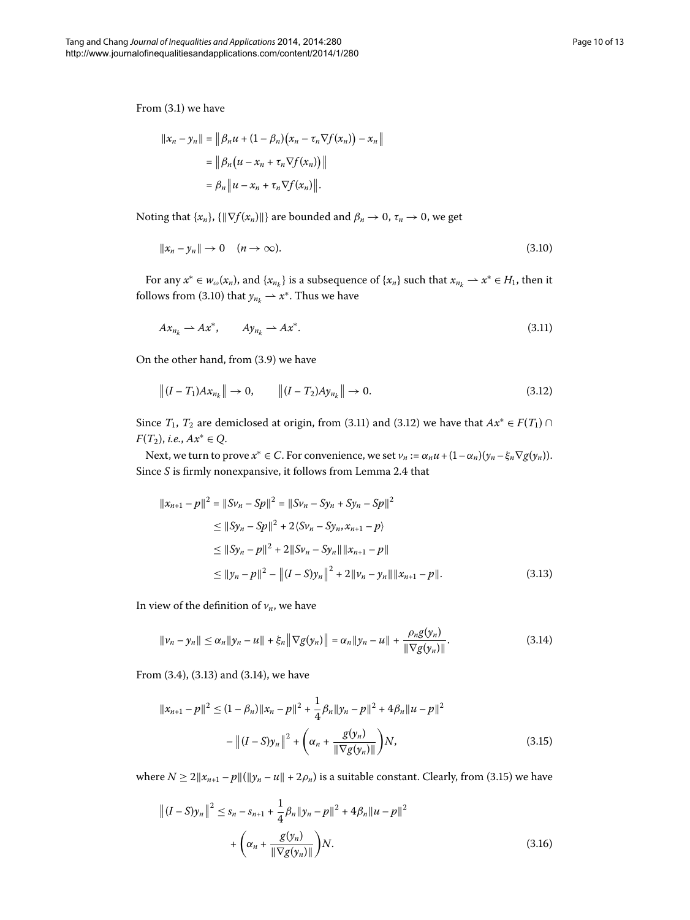From  $(3.1)$  we have

<span id="page-9-0"></span>
$$
||x_n - y_n|| = ||\beta_n u + (1 - \beta_n)(x_n - \tau_n \nabla f(x_n)) - x_n||
$$
  
=  $||\beta_n (u - x_n + \tau_n \nabla f(x_n))||$   
=  $\beta_n ||u - x_n + \tau_n \nabla f(x_n)||$ .

Noting that  $\{x_n\}$ ,  $\{\|\nabla f(x_n)\|\}$  are bounded and  $\beta_n \to 0$ ,  $\tau_n \to 0$ , we get

<span id="page-9-1"></span>
$$
||x_n - y_n|| \to 0 \quad (n \to \infty). \tag{3.10}
$$

For any  $x^* \in w_\omega(x_n)$ , and  $\{x_{n_k}\}\$ is a subsequence of  $\{x_n\}$  such that  $x_{n_k} \to x^* \in H_1$ , then it follows from (3.10) that  $y_{n_k} \rightarrow x^*$ . Thus we have

<span id="page-9-2"></span>
$$
Ax_{n_k} \to Ax^*, \qquad Ay_{n_k} \to Ax^*.
$$
\n(3.11)

On the other hand, from  $(3.9)$  $(3.9)$  $(3.9)$  we have

$$
\|(I - T_1)Ax_{n_k}\| \to 0, \qquad \|(I - T_2)Ay_{n_k}\| \to 0.
$$
\n(3.12)

Since  $T_1$ ,  $T_2$  are demiclosed at origin, from (3.11) and (3.12) we have that  $Ax^* \in F(T_1) \cap T_2$ *F*(*T*<sub>2</sub>), *i.e.*, *Ax*<sup>∗</sup> ∈ *Q*.

Next, we turn to prove  $x^* \in C$ . For convenience, we set  $v_n := \alpha_n u + (1 - \alpha_n)(y_n - \xi_n \nabla g(y_n))$ . Since *S* is firmly nonexpansive, it follows from Lemma 2[.](#page-5-0)4 that

<span id="page-9-4"></span><span id="page-9-3"></span>
$$
||x_{n+1} - p||^2 = ||Sv_n - Sp||^2 = ||Sv_n - Sy_n + Sy_n - Sp||^2
$$
  
\n
$$
\le ||Sy_n - Sp||^2 + 2\langle Sv_n - Sy_n, x_{n+1} - p \rangle
$$
  
\n
$$
\le ||Sy_n - p||^2 + 2||Sy_n - Sy_n|| ||x_{n+1} - p||
$$
  
\n
$$
\le ||y_n - p||^2 - ||(I - S)y_n||^2 + 2||v_n - y_n|| ||x_{n+1} - p||.
$$
\n(3.13)

In view of the definition of  $v_n$ , we have

<span id="page-9-5"></span>
$$
\|v_n - y_n\| \le \alpha_n \|y_n - u\| + \xi_n \|\nabla g(y_n)\| = \alpha_n \|y_n - u\| + \frac{\rho_n g(y_n)}{\|\nabla g(y_n)\|}.
$$
\n(3.14)

From  $(3.4)$  $(3.4)$  $(3.4)$ ,  $(3.13)$  and  $(3.14)$ , we have

<span id="page-9-6"></span>
$$
||x_{n+1} - p||^2 \le (1 - \beta_n) ||x_n - p||^2 + \frac{1}{4} \beta_n ||y_n - p||^2 + 4\beta_n ||u - p||^2
$$
  

$$
- ||(I - S)y_n||^2 + \left(\alpha_n + \frac{g(y_n)}{\|\nabla g(y_n)\|}\right) N,
$$
 (3.15)

where  $N \ge 2||x_{n+1} - p||(||y_n - u|| + 2\rho_n)$  is a suitable constant. Clearly, from (3.15) we have

$$
||(I-S)y_n||^2 \leq s_n - s_{n+1} + \frac{1}{4}\beta_n ||y_n - p||^2 + 4\beta_n ||u - p||^2
$$
  
+  $\left(\alpha_n + \frac{g(y_n)}{||\nabla g(y_n)||}\right)N.$  (3.16)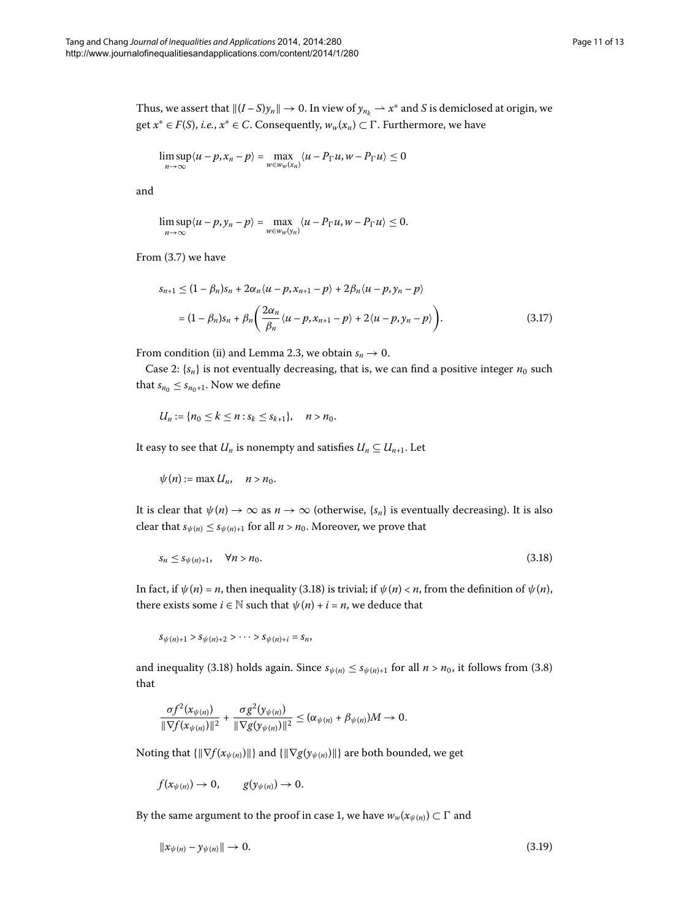Thus, we assert that  $||(I - S)y_n|| \to 0$ . In view of  $y_{n_k} \to x^*$  and *S* is demiclosed at origin, we get  $x^* \in F(S)$ , *i.e.*,  $x^* \in C$ . Consequently,  $w_w(x_n) \subset \Gamma$ . Furthermore, we have

$$
\limsup_{n\to\infty}\langle u-p,x_n-p\rangle=\max_{w\in w_w(x_n)}\langle u-P_\Gamma u,w-P_\Gamma u\rangle\leq 0
$$

and

$$
\limsup_{n\to\infty}\langle u-p,y_n-p\rangle=\max_{w\in w_w(y_n)}\langle u-P_\Gamma u,w-P_\Gamma u\rangle\leq 0.
$$

From  $(3.7)$  we have

$$
s_{n+1} \le (1 - \beta_n)s_n + 2\alpha_n \langle u - p, x_{n+1} - p \rangle + 2\beta_n \langle u - p, y_n - p \rangle
$$
  
=  $(1 - \beta_n)s_n + \beta_n \left( \frac{2\alpha_n}{\beta_n} \langle u - p, x_{n+1} - p \rangle + 2\langle u - p, y_n - p \rangle \right).$  (3.17)

From condition (ii) and Lemma 2[.](#page-5-2)3, we obtain  $s_n \to 0$ .

Case 2:  $\{s_n\}$  is not eventually decreasing, that is, we can find a positive integer  $n_0$  such that  $s_{n_0} \leq s_{n_0+1}$ . Now we define

$$
U_n := \{ n_0 \leq k \leq n : s_k \leq s_{k+1} \}, \quad n > n_0.
$$

It easy to see that *U<sub>n</sub>* is nonempty and satisfies  $U_n \subseteq U_{n+1}$ . Let

<span id="page-10-0"></span>
$$
\psi(n):=\max U_n, \quad n>n_0.
$$

It is clear that  $\psi(n) \to \infty$  as  $n \to \infty$  (otherwise,  $\{s_n\}$  is eventually decreasing). It is also clear that  $s_{\psi(n)} \leq s_{\psi(n)+1}$  for all  $n > n_0$ . Moreover, we prove that

$$
s_n \leq s_{\psi(n)+1}, \quad \forall n > n_0. \tag{3.18}
$$

In fact, if  $\psi(n) = n$ , then inequality (3.18) is trivial; if  $\psi(n) < n$ , from the definition of  $\psi(n)$ , there exists some  $i \in \mathbb{N}$  such that  $\psi(n) + i = n$ , we deduce that

 $S\psi(n)+1 > S\psi(n)+2 > \cdots > S\psi(n)+i = S_n$ 

and inequality (3[.](#page-8-1)18) holds again. Since  $s_{\psi(n)} \leq s_{\psi(n)+1}$  for all  $n > n_0$ , it follows from (3.8) that

<span id="page-10-1"></span>
$$
\frac{\sigma f^2(x_{\psi(n)})}{\|\nabla f(x_{\psi(n)})\|^2} + \frac{\sigma g^2(y_{\psi(n)})}{\|\nabla g(y_{\psi(n)})\|^2} \leq (\alpha_{\psi(n)} + \beta_{\psi(n)})M \to 0.
$$

Noting that  $\{\|\nabla f(x_{\psi(n)})\|\}$  and  $\{\|\nabla g(y_{\psi(n)})\|\}$  are both bounded, we get

$$
f(x_{\psi(n)})\to 0, \qquad g(y_{\psi(n)})\to 0.
$$

By the same argument to the proof in case 1, we have  $w_w(x_{\psi(n)}) \subset \Gamma$  and

$$
\|\mathbf{x}_{\psi(n)} - \mathbf{y}_{\psi(n)}\| \to 0. \tag{3.19}
$$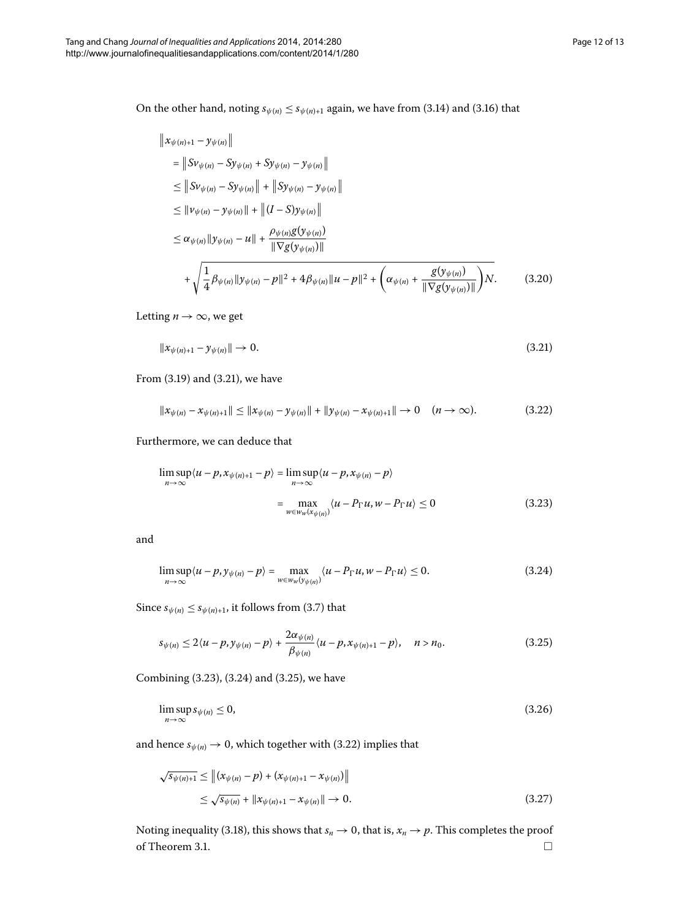On the other hand, noting  $s_{\psi(n)} \leq s_{\psi(n)+1}$  again, we have from (3.14) and (3.16) that

<span id="page-11-0"></span>
$$
\|x_{\psi(n)+1} - y_{\psi(n)}\|
$$
\n
$$
= \|Sv_{\psi(n)} - Sy_{\psi(n)} + Sy_{\psi(n)} - y_{\psi(n)}\|
$$
\n
$$
\leq \|Sy_{\psi(n)} - Sy_{\psi(n)}\| + \|Sy_{\psi(n)} - y_{\psi(n)}\|
$$
\n
$$
\leq \|v_{\psi(n)} - y_{\psi(n)}\| + \|(I - S)y_{\psi(n)}\|
$$
\n
$$
\leq \alpha_{\psi(n)} \|y_{\psi(n)} - u\| + \frac{\rho_{\psi(n)}g(y_{\psi(n)})}{\| \nabla g(y_{\psi(n)})\|}
$$
\n
$$
+ \sqrt{\frac{1}{4}\beta_{\psi(n)} \|y_{\psi(n)} - p\|^2 + 4\beta_{\psi(n)} \|u - p\|^2 + \left(\alpha_{\psi(n)} + \frac{g(y_{\psi(n)})}{\| \nabla g(y_{\psi(n)})\|}\right)N. \tag{3.20}
$$

Letting  $n \to \infty$ , we get

<span id="page-11-4"></span>
$$
\|x_{\psi(n)+1} - y_{\psi(n)}\| \to 0. \tag{3.21}
$$

From  $(3.19)$  and  $(3.21)$ , we have

<span id="page-11-1"></span>
$$
\|x_{\psi(n)} - x_{\psi(n)+1}\| \le \|x_{\psi(n)} - y_{\psi(n)}\| + \|y_{\psi(n)} - x_{\psi(n)+1}\| \to 0 \quad (n \to \infty).
$$
 (3.22)

Furthermore, we can deduce that

<span id="page-11-2"></span>
$$
\limsup_{n \to \infty} \langle u - p, x_{\psi(n)+1} - p \rangle = \limsup_{n \to \infty} \langle u - p, x_{\psi(n)} - p \rangle
$$
  
= 
$$
\max_{w \in w_w(x_{\psi(n)})} \langle u - P_{\Gamma} u, w - P_{\Gamma} u \rangle \le 0
$$
 (3.23)

and

<span id="page-11-3"></span>
$$
\limsup_{n \to \infty} \langle u - p, y_{\psi(n)} - p \rangle = \max_{w \in w_w(y_{\psi(n)})} \langle u - P_{\Gamma} u, w - P_{\Gamma} u \rangle \le 0.
$$
\n(3.24)

Since  $s_{\psi(n)} \leq s_{\psi(n)+1}$ , it follows from (3[.](#page-8-0)7) that

$$
s_{\psi(n)} \leq 2\langle u-p, y_{\psi(n)}-p\rangle + \frac{2\alpha_{\psi(n)}}{\beta_{\psi(n)}}\langle u-p, x_{\psi(n)+1}-p\rangle, \quad n > n_0. \tag{3.25}
$$

Combining  $(3.23)$  $(3.23)$  $(3.23)$ ,  $(3.24)$  and  $(3.25)$ , we have

$$
\limsup_{n \to \infty} s_{\psi(n)} \le 0,\tag{3.26}
$$

and hence  $s_{\psi(n)} \to 0$ , which together with (3.22) implies that

$$
\sqrt{s_{\psi(n)+1}} \leq \| (x_{\psi(n)} - p) + (x_{\psi(n)+1} - x_{\psi(n)}) \|
$$
  
 
$$
\leq \sqrt{s_{\psi(n)}} + \| x_{\psi(n)+1} - x_{\psi(n)} \| \to 0.
$$
 (3.27)

Noting inequality (3.18), this shows that  $s_n \to 0$ , that is,  $x_n \to p$ . This completes the proof of Theorem 3[.](#page-5-3)1.  $\Box$